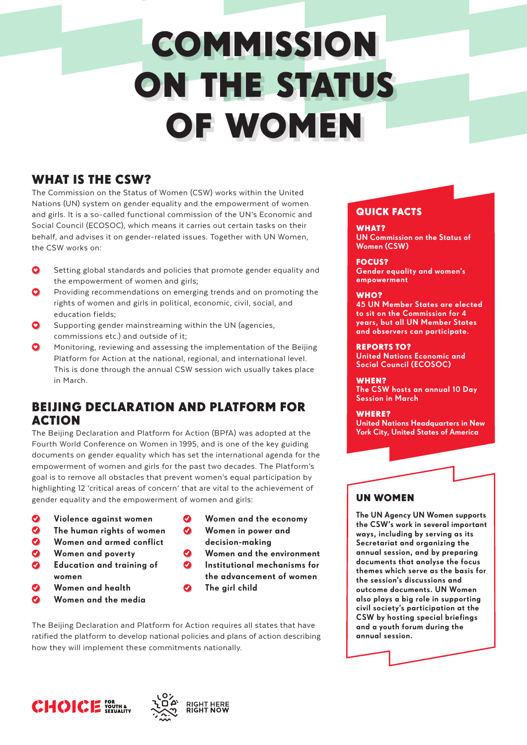# **COMMISSION** ON THE STATUS OF WOMEN

## WHAT IS THE CSW?

The Commission on the Status of Women (CSW) works within the United Nations (UN) system on gender equality and the empowerment of women and girls. It is a so-called functional commission of the UN's Economic and Social Council (ECOSOC), which means it carries out certain tasks on their behalf, and advises it on gender-related issues. Together with UN Women, the CSW works on:

- Setting global standards and policies that promote gender equality and the empowerment of women and girls;
- Providing recommendations on emerging trends and on promoting the rights of women and girls in political, economic, civil, social, and education fields;
- Supporting gender mainstreaming within the UN (agencies, commissions etc.) and outside of it;
- Monitoring, reviewing and assessing the implementation of the Beijing Platform for Action at the national, regional, and international level. This is done through the annual CSW session wich usually takes place in March.

## BEIJING DECLARATION AND PLATFORM FOR ACTION

The Beijing Declaration and Platform for Action (BPfA) was adopted at the Fourth World Conference on Women in 1995, and is one of the key guiding documents on gender equality which has set the international agenda for the empowerment of women and girls for the past two decades. The Platform's goal is to remove all obstacles that prevent women's equal participation by highlighting 12 'critical areas of concern' that are vital to the achievement of gender equality and the empowerment of women and girls:

 $\boldsymbol{\Omega}$ 

- Ø Violence against women
- $\mathbf o$ The human rights of women
- Women and armed conflict
- Women and poverty
- Education and training of women
- $\boldsymbol{\Omega}$ Women and health
- Women and the media
- Women and the economy
- $\bullet$ Women in power and decision-making
- Women and the environment Institutional mechanisms for the advancement of women
- $\bullet$ The girl child

The Beijing Declaration and Platform for Action requires all states that have ratified the platform to develop national policies and plans of action describing how they will implement these commitments nationally.





### QUICK FACTS

WHAT? UN Commission on the Status of Women (CSW)

FOCUS? Gender equality and women's empowerment

#### WHO?

45 UN Member States are elected to sit on the Commission for 4 years, but all UN Member States and observers can participate.

#### REPORTS TO?

United Nations Economic and Social Council (ECOSOC)

#### WHEN?

The CSW hosts an annual 10 Day Session in March

#### WHERE?

United Nations Headquarters in New York City, United States of America

## UN WOMEN

The UN Agency UN Women supports the CSW's work in several important ways, including by serving as its Secretariat and organizing the annual session, and by preparing documents that analyse the focus themes which serve as the basis for the session's discussions and outcome documents. UN Women also plays a big role in supporting civil society's participation at the CSW by hosting special briefings and a youth forum during the annual session.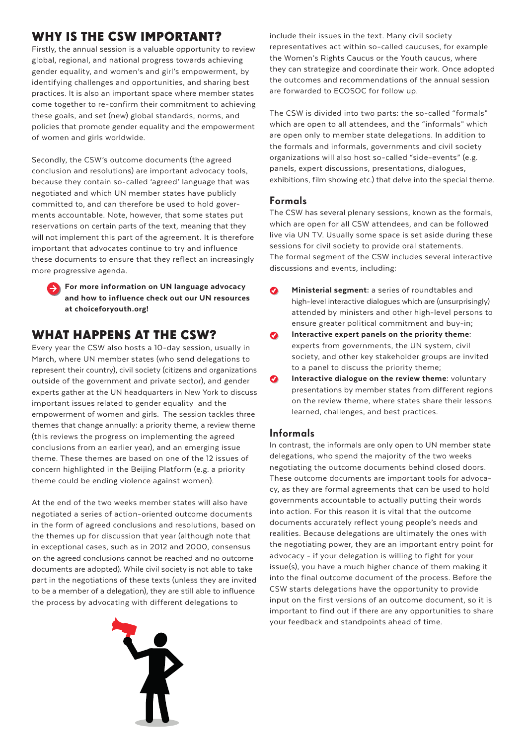## WHY IS THE CSW IMPORTANT?

Firstly, the annual session is a valuable opportunity to review global, regional, and national progress towards achieving gender equality, and women's and girl's empowerment, by identifying challenges and opportunities, and sharing best practices. It is also an important space where member states come together to re-confirm their commitment to achieving these goals, and set (new) global standards, norms, and policies that promote gender equality and the empowerment of women and girls worldwide.

Secondly, the CSW's outcome documents (the agreed conclusion and resolutions) are important advocacy tools, because they contain so-called 'agreed' language that was negotiated and which UN member states have publicly committed to, and can therefore be used to hold goverments accountable. Note, however, that some states put reservations on certain parts of the text, meaning that they will not implement this part of the agreement. It is therefore important that advocates continue to try and influence these documents to ensure that they reflect an increasingly more progressive agenda.

> For more information on UN language advocacy and how to influence check out our UN resources a[t choiceforyouth.org!](https://choiceforyouth.org)

## WHAT HAPPENS AT THE CSW?

Every year the CSW also hosts a 10-day session, usually in March, where UN member states (who send delegations to represent their country), civil society (citizens and organizations outside of the government and private sector), and gender experts gather at the UN headquarters in New York to discuss important issues related to gender equality and the empowerment of women and girls. The session tackles three themes that change annually: a priority theme, a review theme (this reviews the progress on implementing the agreed conclusions from an earlier year), and an emerging issue theme. These themes are based on one of the 12 issues of concern highlighted in the Beijing Platform (e.g. a priority theme could be ending violence against women).

At the end of the two weeks member states will also have negotiated a series of action-oriente[d outcome documents](http://www.unwomen.org/en/csw/outcomes)  in the form of agreed conclusions and resolutions, based on the themes up for discussion that year (although note that in exceptional cases, such as in 2012 and 2000, consensus on the agreed conclusions cannot be reached and no outcome documents are adopted). While civil society is not able to take part in the negotiations of these texts (unless they are invited to be a member of a delegation), they are still able to influence the process by advocating with different delegations to



include their issues in the text. Many civil society representatives act within so-called caucuses, for example the Women's Rights Caucus or the Youth caucus, where they can strategize and coordinate their work. Once adopted the outcomes and recommendations of the annual session are forwarded to ECOSOC for follow up.

The CSW is divided into two parts: the so-called "formals" which are open to all attendees, and the "informals" which are open only to member state delegations. In addition to the formals and informals, governments and civil society organizations will also host so-called "side-events" (e.g. panels, expert discussions, presentations, dialogues, exhibitions, film showing etc.) that delve into the special theme.

#### Formals

The CSW has several plenary sessions, known as the formals, which are open for all CSW attendees, and can be followed live via [UN TV. U](http://webtv.un.org/)sually some space is set aside during these sessions for civil society to provide oral statements. The formal segment of the CSW includes several interactive discussions and events, including:

- $\boldsymbol{\Omega}$ Ministerial segment: a series of roundtables and high-level interactive dialogues which are (unsurprisingly) attended by ministers and other high-level persons to ensure greater political commitment and buy-in;
- $\boldsymbol{\Omega}$ Interactive expert panels on the priority theme: experts from governments, the UN system, civil society, and other key stakeholder groups are invited to a panel to discuss the priority theme;
- $\bullet$ Interactive dialogue on the review theme: voluntary presentations by member states from different regions on the review theme, where states share their lessons learned, challenges, and best practices.

#### Informals

In contrast, the informals are only open to UN member state delegations, who spend the majority of the two weeks negotiating the outcome documents behind closed doors. These outcome documents are important tools for advocacy, as they are formal agreements that can be used to hold governments accountable to actually putting their words into action. For this reason it is vital that the outcome documents accurately reflect young people's needs and realities. Because delegations are ultimately the ones with the negotiating power, they are an important entry point for advocacy - if your delegation is willing to fight for your issue(s), you have a much higher chance of them making it into the final outcome document of the process. Before the CSW starts delegations have the opportunity to provide input on the first versions of an outcome document, so it is important to find out if there are any opportunities to share your feedback and standpoints ahead of time.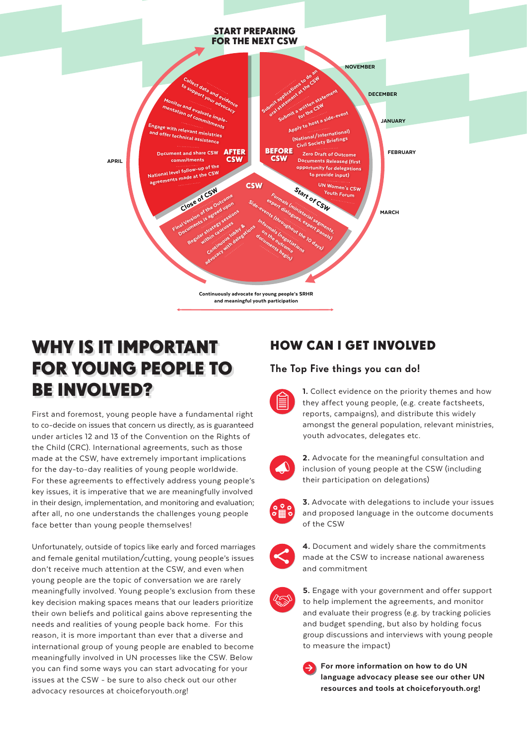

# WHY IS IT IMPORTANT FOR YOUNG PEOPLE TO BE INVOLVED?

First and foremost, young people have a fundamental right to co-decide on issues that concern us directly, as is guaranteed under articles 12 and 13 of th[e Convention on the Rights](http://www.ohchr.org/en/professionalinterest/pages/crc.aspx) of the Child (CRC). International agreements, such as those made at the CSW, have extremely important implications for the day-to-day realities of young people worldwide. For these agreements to effectively address young people's key issues, it is imperative that we are meaningfully involved in their design, implementation, and monitoring and evaluation; after all, no one understands the challenges young people face better than young people themselves!

Unfortunately, outside of topics like early and forced marriages and female genital mutilation/cutting, young people's issues don't receive much attention at the CSW, and even when young people are the topic of conversation we are rarely meaningfully involved. Young people's exclusion from these key decision making spaces means that our leaders prioritize their own beliefs and political gains above representing the needs and realities of young people back home. For this reason, it is more important than ever that a diverse and international group of young people are enabled to become meaningfully involved in UN processes like the CSW. Below you can find some ways you can start advocating for your issues at the CSW - be sure to also check out our other advocacy resources at choiceforyouth.org!

## HOW CAN I GET INVOLVED

#### The Top Five things you can do!



1. Collect evidence on the priority themes and how they affect young people, (e.g. create factsheets, reports, campaigns), and distribute this widely amongst the general population, relevant ministries, youth advocates, delegates etc.



2. Advocate for the meaningful consultation and inclusion of young people at the CSW (including their participation on delegations)



**3.** Advocate with delegations to include your issues and proposed language in the outcome documents of the CSW



4. Document and widely share the commitments made at the CSW to increase national awareness and commitment



5. Engage with your government and offer support to help implement the agreements, and monitor and evaluate their progress (e.g. by tracking policies and budget spending, but also by holding focus group discussions and interviews with young people to measure the impact)



For more information on how to do UN language advocacy please see our other UN resources and tools a[t choiceforyouth.org!](https://choiceforyouth.org)